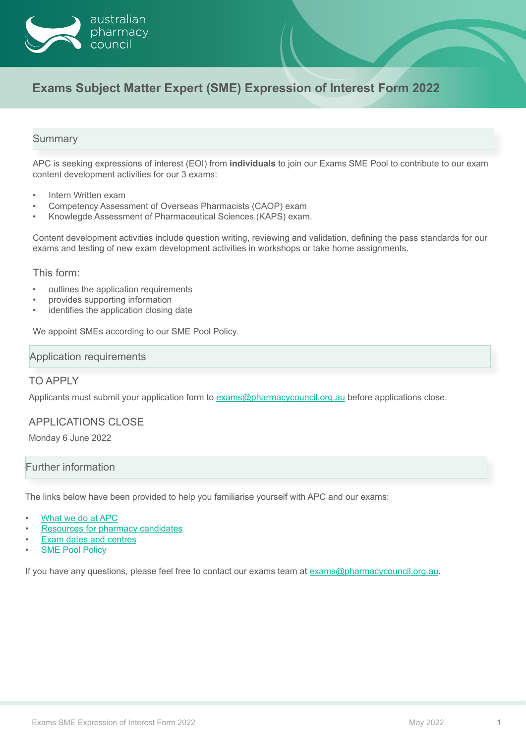

# **Exams Subject Matter Expert (SME) Expression of Interest Form 2022**

## **Summary**

APC is seeking expressions of interest (EOI) from **individuals** to join our Exams SME Pool to contribute to our exam content development activities for our 3 exams:

- Intern Written exam
- Competency Assessment of Overseas Pharmacists (CAOP) exam
- Knowlegde Assessment of Pharmaceutical Sciences (KAPS) exam.

Content development activities include question writing, reviewing and validation, defining the pass standards for our exams and testing of new exam development activities in workshops or take home assignments.

This form:

- outlines the application requirements
- provides supporting information
- identifies the application closing date

We appoint SMEs according to our SME Pool Policy.

#### Application requirements

#### TO APPLY

Applicants must submit your application form to exam[s@pharmacycouncil.org.au](mailto:exams%40pharmacycouncil.org.au?subject=) before applications close.

#### APPLICATIONS CLOSE

Monday 6 June 2022

#### Further information

The links below have been provided to help you familiarise yourself with APC and our exams:

- [What we do at APC](https://www.pharmacycouncil.org.au/what-we-do/)
- [Resources for pharmacy candidates](https://www.pharmacycouncil.org.au/resources/?area=Pharmacist)
- **[Exam dates and centres](https://www.pharmacycouncil.org.au/pharmacist/exam-dates-and-centres/)**
- **[SME Pool Policy](https://www.pharmacycouncil.org.au/exam-sme-pool-policy.pdf)**

If you have any questions, please feel free to contact our exams team at exams[@pharmacycouncil.org.au](mailto:exams%40pharmacycouncil.org.au?subject=).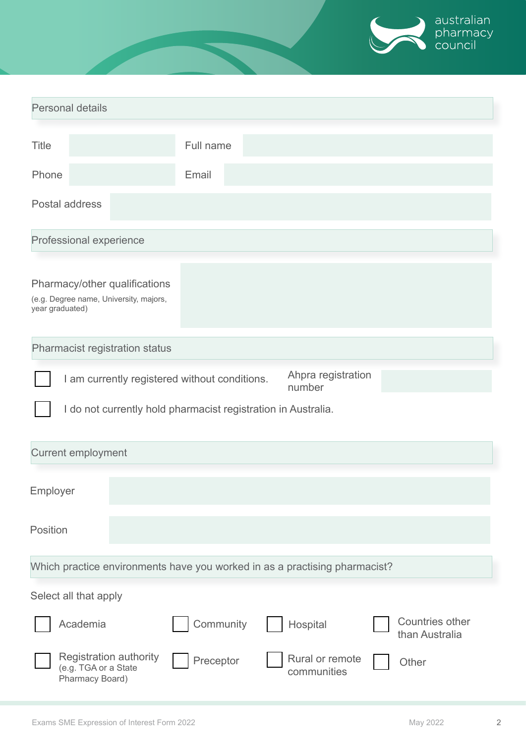

| <b>Personal details</b>                                                                    |                                                                          |           |                                       |                                          |
|--------------------------------------------------------------------------------------------|--------------------------------------------------------------------------|-----------|---------------------------------------|------------------------------------------|
|                                                                                            |                                                                          |           |                                       |                                          |
| <b>Title</b>                                                                               |                                                                          | Full name |                                       |                                          |
| Phone                                                                                      |                                                                          | Email     |                                       |                                          |
| Postal address                                                                             |                                                                          |           |                                       |                                          |
| Professional experience                                                                    |                                                                          |           |                                       |                                          |
| Pharmacy/other qualifications<br>(e.g. Degree name, University, majors,<br>year graduated) |                                                                          |           |                                       |                                          |
| Pharmacist registration status                                                             |                                                                          |           |                                       |                                          |
| Ahpra registration<br>I am currently registered without conditions.<br>number              |                                                                          |           |                                       |                                          |
| I do not currently hold pharmacist registration in Australia.                              |                                                                          |           |                                       |                                          |
| <b>Current employment</b>                                                                  |                                                                          |           |                                       |                                          |
| Employer                                                                                   |                                                                          |           |                                       |                                          |
| Position                                                                                   |                                                                          |           |                                       |                                          |
| Which practice environments have you worked in as a practising pharmacist?                 |                                                                          |           |                                       |                                          |
| Select all that apply                                                                      |                                                                          |           |                                       |                                          |
| Academia                                                                                   |                                                                          | Community | Hospital                              | <b>Countries other</b><br>than Australia |
|                                                                                            | <b>Registration authority</b><br>(e.g. TGA or a State<br>Pharmacy Board) | Preceptor | <b>Rural or remote</b><br>communities | Other                                    |